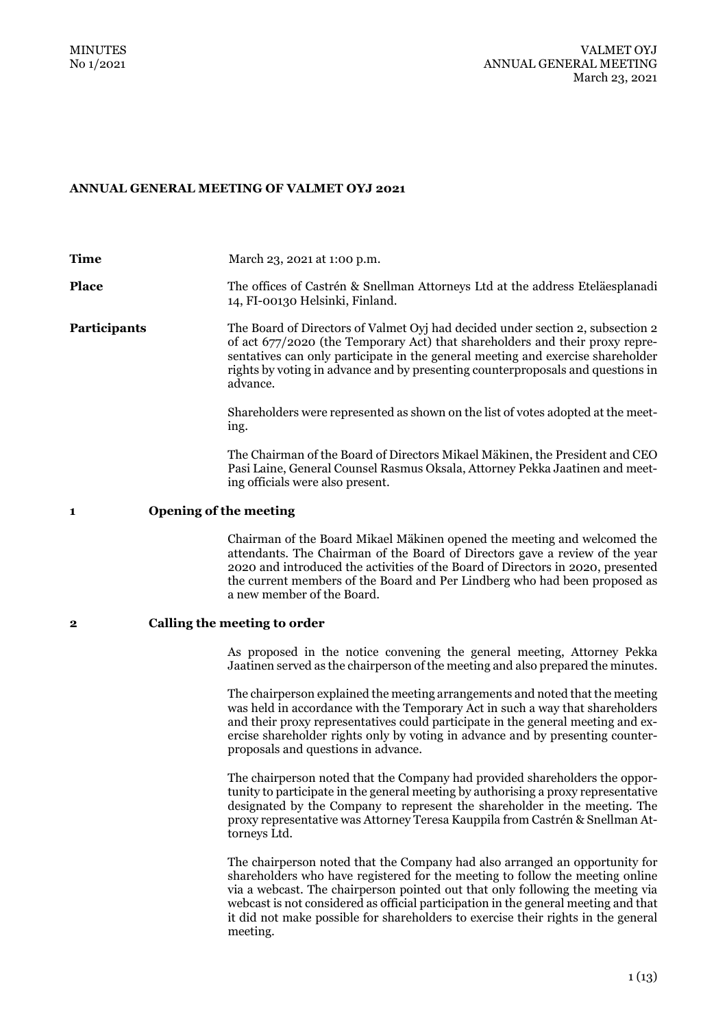## **ANNUAL GENERAL MEETING OF VALMET OYJ 2021**

**Time March 23, 2021 at 1:00 p.m. Place** The offices of Castrén & Snellman Attorneys Ltd at the address Eteläesplanadi 14, FI-00130 Helsinki, Finland. **Participants** The Board of Directors of Valmet Oyj had decided under section 2, subsection 2 of act 677/2020 (the Temporary Act) that shareholders and their proxy representatives can only participate in the general meeting and exercise shareholder rights by voting in advance and by presenting counterproposals and questions in advance. Shareholders were represented as shown on the list of votes adopted at the meeting. The Chairman of the Board of Directors Mikael Mäkinen, the President and CEO Pasi Laine, General Counsel Rasmus Oksala, Attorney Pekka Jaatinen and meeting officials were also present. **1 Opening of the meeting** Chairman of the Board Mikael Mäkinen opened the meeting and welcomed the attendants. The Chairman of the Board of Directors gave a review of the year 2020 and introduced the activities of the Board of Directors in 2020, presented the current members of the Board and Per Lindberg who had been proposed as a new member of the Board. **2 Calling the meeting to order**  As proposed in the notice convening the general meeting, Attorney Pekka Jaatinen served as the chairperson of the meeting and also prepared the minutes. The chairperson explained the meeting arrangements and noted that the meeting was held in accordance with the Temporary Act in such a way that shareholders and their proxy representatives could participate in the general meeting and exercise shareholder rights only by voting in advance and by presenting counterproposals and questions in advance.

The chairperson noted that the Company had provided shareholders the opportunity to participate in the general meeting by authorising a proxy representative designated by the Company to represent the shareholder in the meeting. The proxy representative was Attorney Teresa Kauppila from Castrén & Snellman Attorneys Ltd.

The chairperson noted that the Company had also arranged an opportunity for shareholders who have registered for the meeting to follow the meeting online via a webcast. The chairperson pointed out that only following the meeting via webcast is not considered as official participation in the general meeting and that it did not make possible for shareholders to exercise their rights in the general meeting.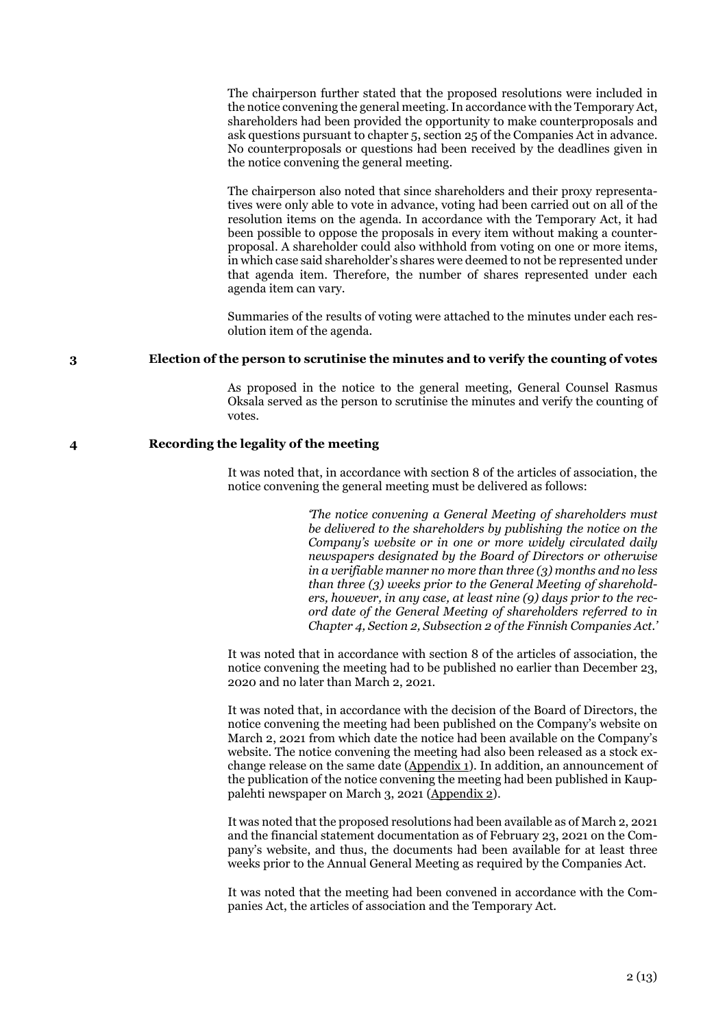The chairperson further stated that the proposed resolutions were included in the notice convening the general meeting. In accordance with the Temporary Act, shareholders had been provided the opportunity to make counterproposals and ask questions pursuant to chapter 5, section 25 of the Companies Act in advance. No counterproposals or questions had been received by the deadlines given in the notice convening the general meeting.

The chairperson also noted that since shareholders and their proxy representatives were only able to vote in advance, voting had been carried out on all of the resolution items on the agenda. In accordance with the Temporary Act, it had been possible to oppose the proposals in every item without making a counterproposal. A shareholder could also withhold from voting on one or more items, in which case said shareholder's shares were deemed to not be represented under that agenda item. Therefore, the number of shares represented under each agenda item can vary.

Summaries of the results of voting were attached to the minutes under each resolution item of the agenda.

### **3 Election of the person to scrutinise the minutes and to verify the counting of votes**

As proposed in the notice to the general meeting, General Counsel Rasmus Oksala served as the person to scrutinise the minutes and verify the counting of votes.

### **4 Recording the legality of the meeting**

It was noted that, in accordance with section 8 of the articles of association, the notice convening the general meeting must be delivered as follows:

> *'The notice convening a General Meeting of shareholders must be delivered to the shareholders by publishing the notice on the Company's website or in one or more widely circulated daily newspapers designated by the Board of Directors or otherwise in a verifiable manner no more than three (3) months and no less than three (3) weeks prior to the General Meeting of shareholders, however, in any case, at least nine (9) days prior to the record date of the General Meeting of shareholders referred to in Chapter 4, Section 2, Subsection 2 of the Finnish Companies Act.'*

It was noted that in accordance with section 8 of the articles of association, the notice convening the meeting had to be published no earlier than December 23, 2020 and no later than March 2, 2021.

It was noted that, in accordance with the decision of the Board of Directors, the notice convening the meeting had been published on the Company's website on March 2, 2021 from which date the notice had been available on the Company's website. The notice convening the meeting had also been released as a stock exchange release on the same date (Appendix 1). In addition, an announcement of the publication of the notice convening the meeting had been published in Kauppalehti newspaper on March 3, 2021 (Appendix 2).

It was noted that the proposed resolutions had been available as of March 2, 2021 and the financial statement documentation as of February 23, 2021 on the Company's website, and thus, the documents had been available for at least three weeks prior to the Annual General Meeting as required by the Companies Act.

It was noted that the meeting had been convened in accordance with the Companies Act, the articles of association and the Temporary Act.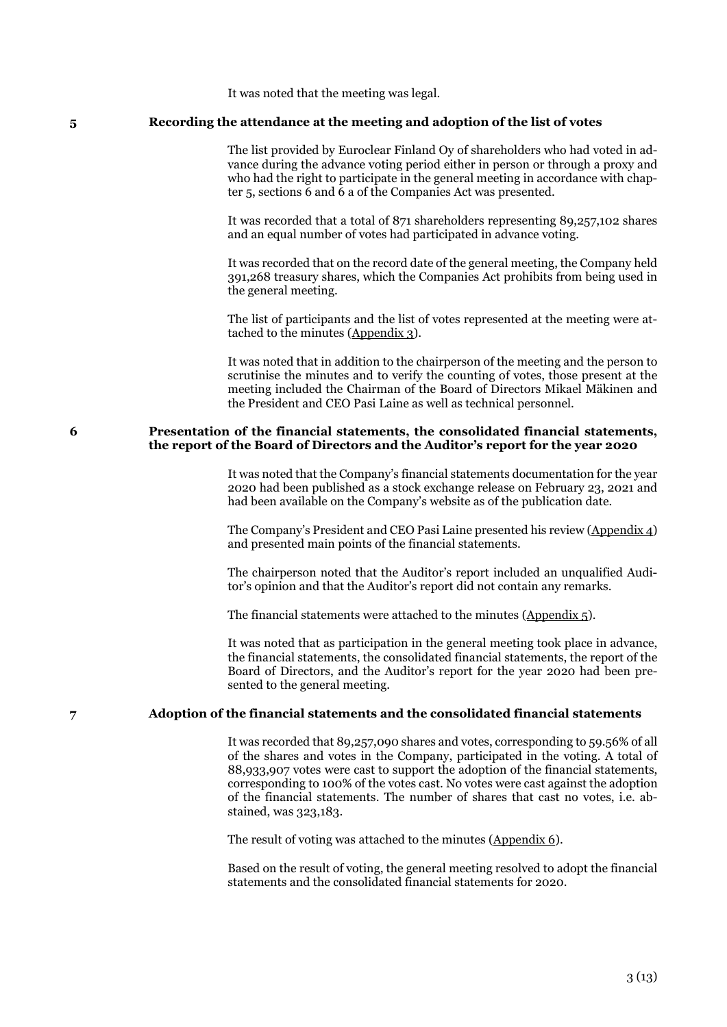It was noted that the meeting was legal.

#### **5 Recording the attendance at the meeting and adoption of the list of votes**

The list provided by Euroclear Finland Oy of shareholders who had voted in advance during the advance voting period either in person or through a proxy and who had the right to participate in the general meeting in accordance with chapter 5, sections 6 and 6 a of the Companies Act was presented.

It was recorded that a total of 871 shareholders representing 89,257,102 shares and an equal number of votes had participated in advance voting.

It was recorded that on the record date of the general meeting, the Company held 391,268 treasury shares, which the Companies Act prohibits from being used in the general meeting.

The list of participants and the list of votes represented at the meeting were attached to the minutes (Appendix 3).

It was noted that in addition to the chairperson of the meeting and the person to scrutinise the minutes and to verify the counting of votes, those present at the meeting included the Chairman of the Board of Directors Mikael Mäkinen and the President and CEO Pasi Laine as well as technical personnel.

### **6 Presentation of the financial statements, the consolidated financial statements, the report of the Board of Directors and the Auditor's report for the year 2020**

It was noted that the Company's financial statements documentation for the year 2020 had been published as a stock exchange release on February 23, 2021 and had been available on the Company's website as of the publication date.

The Company's President and CEO Pasi Laine presented his review (Appendix 4) and presented main points of the financial statements.

The chairperson noted that the Auditor's report included an unqualified Auditor's opinion and that the Auditor's report did not contain any remarks.

The financial statements were attached to the minutes (Appendix 5).

It was noted that as participation in the general meeting took place in advance, the financial statements, the consolidated financial statements, the report of the Board of Directors, and the Auditor's report for the year 2020 had been presented to the general meeting.

## **7 Adoption of the financial statements and the consolidated financial statements**

It was recorded that 89,257,090 shares and votes, corresponding to 59.56% of all of the shares and votes in the Company, participated in the voting. A total of 88,933,907 votes were cast to support the adoption of the financial statements, corresponding to 100% of the votes cast. No votes were cast against the adoption of the financial statements. The number of shares that cast no votes, i.e. abstained, was 323,183.

The result of voting was attached to the minutes (Appendix 6).

Based on the result of voting, the general meeting resolved to adopt the financial statements and the consolidated financial statements for 2020.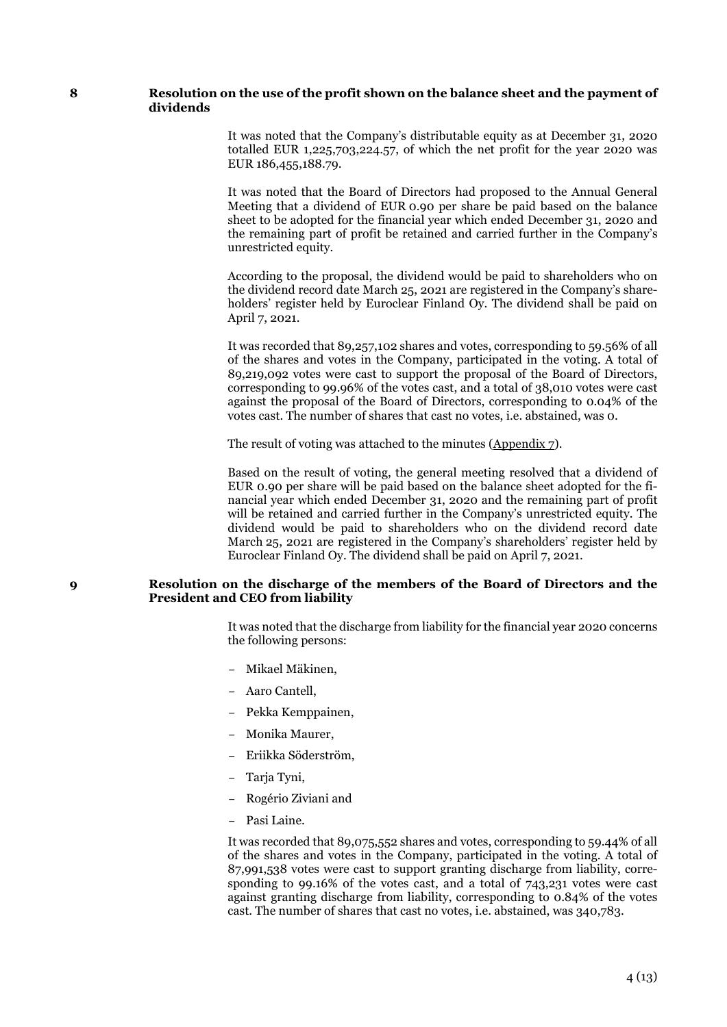### **8 Resolution on the use of the profit shown on the balance sheet and the payment of dividends**

It was noted that the Company's distributable equity as at December 31, 2020 totalled EUR 1,225,703,224.57, of which the net profit for the year 2020 was EUR 186,455,188.79.

It was noted that the Board of Directors had proposed to the Annual General Meeting that a dividend of EUR 0.90 per share be paid based on the balance sheet to be adopted for the financial year which ended December 31, 2020 and the remaining part of profit be retained and carried further in the Company's unrestricted equity.

According to the proposal, the dividend would be paid to shareholders who on the dividend record date March 25, 2021 are registered in the Company's shareholders' register held by Euroclear Finland Oy. The dividend shall be paid on April 7, 2021.

It was recorded that 89,257,102 shares and votes, corresponding to 59.56% of all of the shares and votes in the Company, participated in the voting. A total of 89,219,092 votes were cast to support the proposal of the Board of Directors, corresponding to 99.96% of the votes cast, and a total of 38,010 votes were cast against the proposal of the Board of Directors, corresponding to 0.04% of the votes cast. The number of shares that cast no votes, i.e. abstained, was 0.

The result of voting was attached to the minutes (Appendix 7).

Based on the result of voting, the general meeting resolved that a dividend of EUR 0.90 per share will be paid based on the balance sheet adopted for the financial year which ended December 31, 2020 and the remaining part of profit will be retained and carried further in the Company's unrestricted equity. The dividend would be paid to shareholders who on the dividend record date March 25, 2021 are registered in the Company's shareholders' register held by Euroclear Finland Oy. The dividend shall be paid on April 7, 2021.

## **9 Resolution on the discharge of the members of the Board of Directors and the President and CEO from liability**

It was noted that the discharge from liability for the financial year 2020 concerns the following persons:

- Mikael Mäkinen,
- Aaro Cantell,
- Pekka Kemppainen,
- Monika Maurer,
- Eriikka Söderström,
- Tarja Tyni,
- Rogério Ziviani and
- Pasi Laine.

It was recorded that 89,075,552 shares and votes, corresponding to 59.44% of all of the shares and votes in the Company, participated in the voting. A total of 87,991,538 votes were cast to support granting discharge from liability, corresponding to 99.16% of the votes cast, and a total of 743,231 votes were cast against granting discharge from liability, corresponding to 0.84% of the votes cast. The number of shares that cast no votes, i.e. abstained, was 340,783.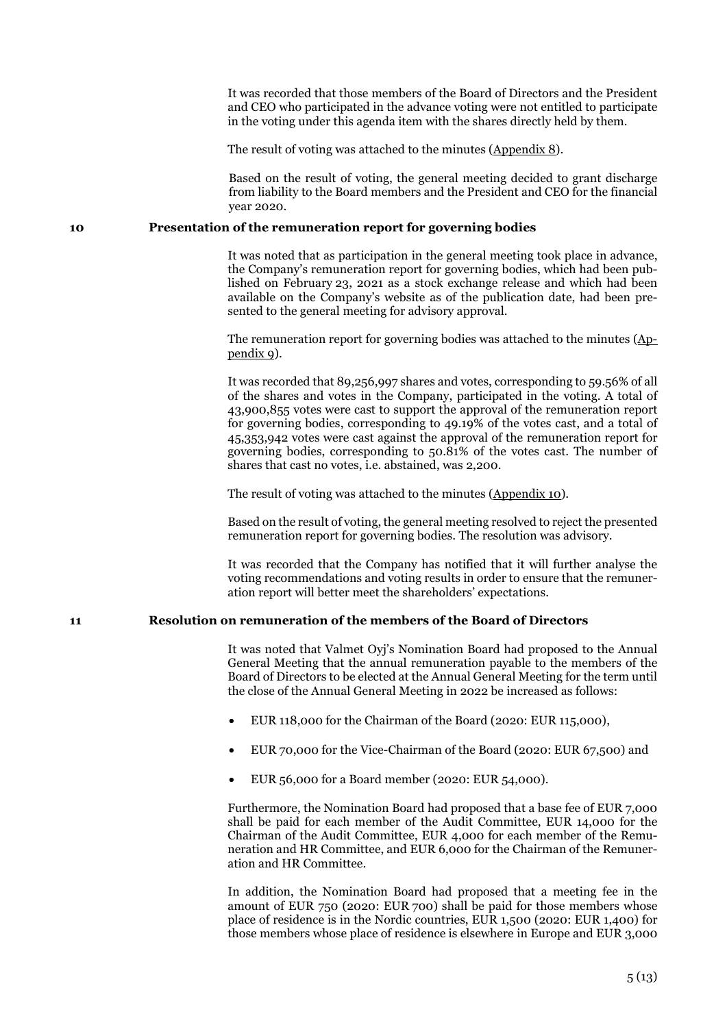It was recorded that those members of the Board of Directors and the President and CEO who participated in the advance voting were not entitled to participate in the voting under this agenda item with the shares directly held by them.

The result of voting was attached to the minutes (Appendix 8).

Based on the result of voting, the general meeting decided to grant discharge from liability to the Board members and the President and CEO for the financial year 2020.

#### **10 Presentation of the remuneration report for governing bodies**

It was noted that as participation in the general meeting took place in advance, the Company's remuneration report for governing bodies, which had been published on February 23, 2021 as a stock exchange release and which had been available on the Company's website as of the publication date, had been presented to the general meeting for advisory approval.

The remuneration report for governing bodies was attached to the minutes (Appendix 9).

It was recorded that 89,256,997 shares and votes, corresponding to 59.56% of all of the shares and votes in the Company, participated in the voting. A total of 43,900,855 votes were cast to support the approval of the remuneration report for governing bodies, corresponding to 49.19% of the votes cast, and a total of 45,353,942 votes were cast against the approval of the remuneration report for governing bodies, corresponding to 50.81% of the votes cast. The number of shares that cast no votes, i.e. abstained, was 2,200.

The result of voting was attached to the minutes (Appendix 10).

Based on the result of voting, the general meeting resolved to reject the presented remuneration report for governing bodies. The resolution was advisory.

It was recorded that the Company has notified that it will further analyse the voting recommendations and voting results in order to ensure that the remuneration report will better meet the shareholders' expectations.

## **11 Resolution on remuneration of the members of the Board of Directors**

It was noted that Valmet Oyj's Nomination Board had proposed to the Annual General Meeting that the annual remuneration payable to the members of the Board of Directors to be elected at the Annual General Meeting for the term until the close of the Annual General Meeting in 2022 be increased as follows:

- EUR 118,000 for the Chairman of the Board (2020: EUR 115,000),
- EUR 70,000 for the Vice-Chairman of the Board (2020: EUR 67,500) and
- EUR 56,000 for a Board member (2020: EUR 54,000).

Furthermore, the Nomination Board had proposed that a base fee of EUR 7,000 shall be paid for each member of the Audit Committee, EUR 14,000 for the Chairman of the Audit Committee, EUR 4,000 for each member of the Remuneration and HR Committee, and EUR 6,000 for the Chairman of the Remuneration and HR Committee.

In addition, the Nomination Board had proposed that a meeting fee in the amount of EUR 750 (2020: EUR 700) shall be paid for those members whose place of residence is in the Nordic countries, EUR 1,500 (2020: EUR 1,400) for those members whose place of residence is elsewhere in Europe and EUR 3,000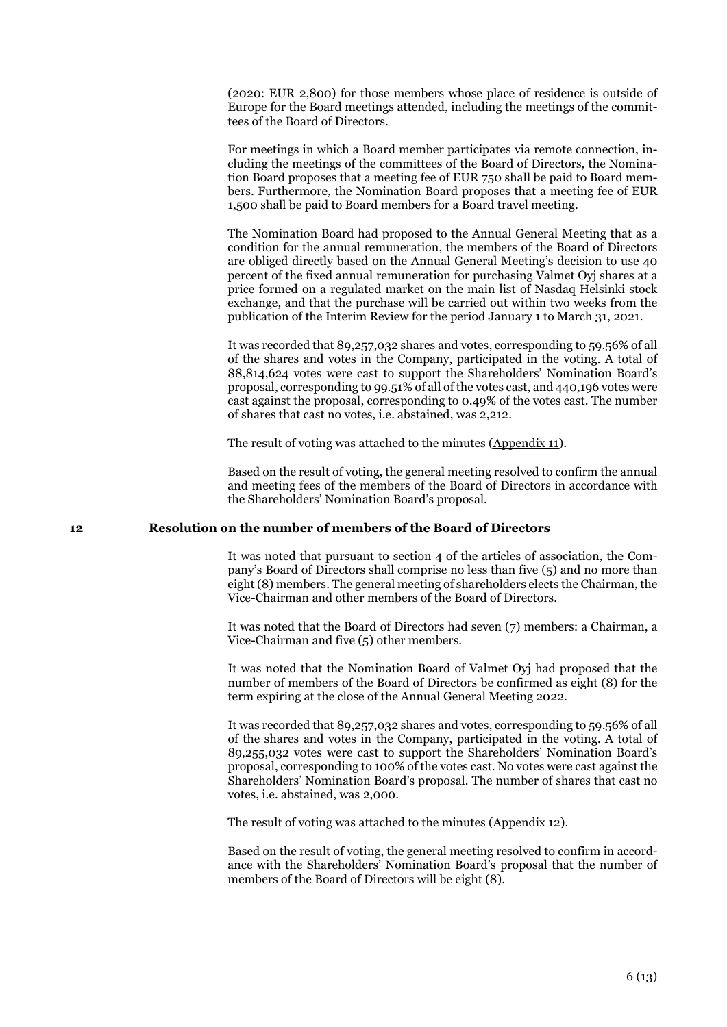(2020: EUR 2,800) for those members whose place of residence is outside of Europe for the Board meetings attended, including the meetings of the committees of the Board of Directors.

For meetings in which a Board member participates via remote connection, including the meetings of the committees of the Board of Directors, the Nomination Board proposes that a meeting fee of EUR 750 shall be paid to Board members. Furthermore, the Nomination Board proposes that a meeting fee of EUR 1,500 shall be paid to Board members for a Board travel meeting.

The Nomination Board had proposed to the Annual General Meeting that as a condition for the annual remuneration, the members of the Board of Directors are obliged directly based on the Annual General Meeting's decision to use 40 percent of the fixed annual remuneration for purchasing Valmet Oyj shares at a price formed on a regulated market on the main list of Nasdaq Helsinki stock exchange, and that the purchase will be carried out within two weeks from the publication of the Interim Review for the period January 1 to March 31, 2021.

It was recorded that 89,257,032 shares and votes, corresponding to 59.56% of all of the shares and votes in the Company, participated in the voting. A total of 88,814,624 votes were cast to support the Shareholders' Nomination Board's proposal, corresponding to 99.51% of all of the votes cast, and 440,196 votes were cast against the proposal, corresponding to 0.49% of the votes cast. The number of shares that cast no votes, i.e. abstained, was 2,212.

The result of voting was attached to the minutes (Appendix 11).

Based on the result of voting, the general meeting resolved to confirm the annual and meeting fees of the members of the Board of Directors in accordance with the Shareholders' Nomination Board's proposal.

## **12 Resolution on the number of members of the Board of Directors**

It was noted that pursuant to section 4 of the articles of association, the Company's Board of Directors shall comprise no less than five (5) and no more than eight (8) members. The general meeting of shareholders elects the Chairman, the Vice-Chairman and other members of the Board of Directors.

It was noted that the Board of Directors had seven (7) members: a Chairman, a Vice-Chairman and five (5) other members.

It was noted that the Nomination Board of Valmet Oyj had proposed that the number of members of the Board of Directors be confirmed as eight (8) for the term expiring at the close of the Annual General Meeting 2022.

It was recorded that 89,257,032 shares and votes, corresponding to 59.56% of all of the shares and votes in the Company, participated in the voting. A total of 89,255,032 votes were cast to support the Shareholders' Nomination Board's proposal, corresponding to 100% of the votes cast. No votes were cast against the Shareholders' Nomination Board's proposal. The number of shares that cast no votes, i.e. abstained, was 2,000.

The result of voting was attached to the minutes (Appendix 12).

Based on the result of voting, the general meeting resolved to confirm in accordance with the Shareholders' Nomination Board's proposal that the number of members of the Board of Directors will be eight (8).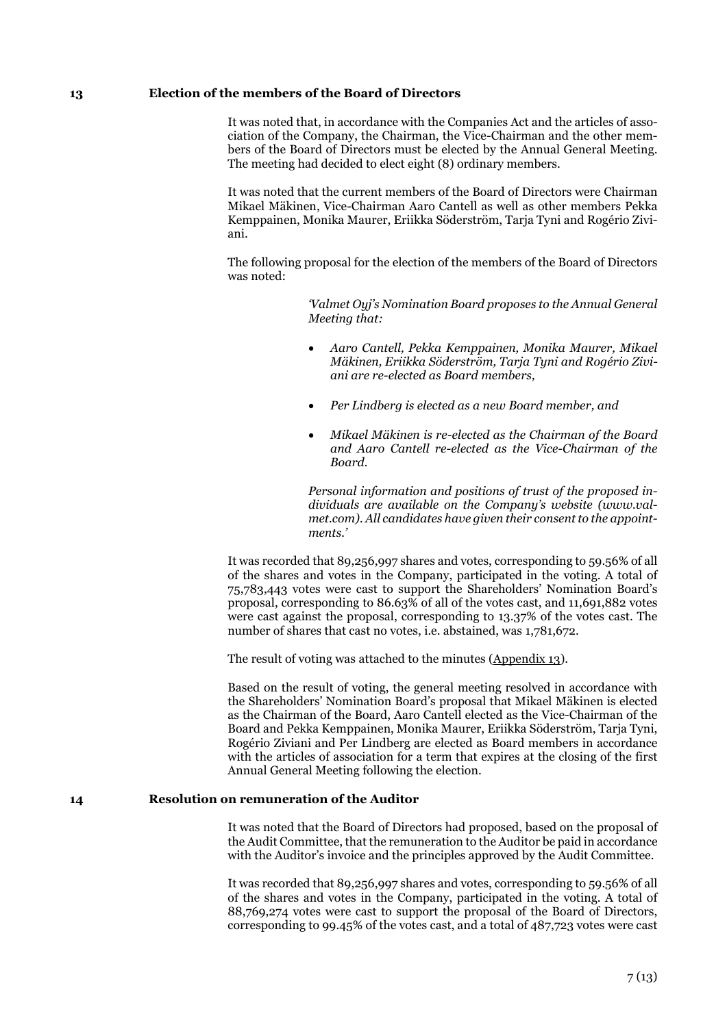### **13 Election of the members of the Board of Directors**

It was noted that, in accordance with the Companies Act and the articles of association of the Company, the Chairman, the Vice-Chairman and the other members of the Board of Directors must be elected by the Annual General Meeting. The meeting had decided to elect eight (8) ordinary members.

It was noted that the current members of the Board of Directors were Chairman Mikael Mäkinen, Vice-Chairman Aaro Cantell as well as other members Pekka Kemppainen, Monika Maurer, Eriikka Söderström, Tarja Tyni and Rogério Ziviani.

The following proposal for the election of the members of the Board of Directors was noted:

> *'Valmet Oyj's Nomination Board proposes to the Annual General Meeting that:*

- *Aaro Cantell, Pekka Kemppainen, Monika Maurer, Mikael Mäkinen, Eriikka Söderström, Tarja Tyni and Rogério Ziviani are re-elected as Board members,*
- *Per Lindberg is elected as a new Board member, and*
- *Mikael Mäkinen is re-elected as the Chairman of the Board and Aaro Cantell re-elected as the Vice-Chairman of the Board.*

*Personal information and positions of trust of the proposed individuals are available on the Company's website (www.valmet.com). All candidates have given their consent to the appointments.'*

It was recorded that 89,256,997 shares and votes, corresponding to 59.56% of all of the shares and votes in the Company, participated in the voting. A total of 75,783,443 votes were cast to support the Shareholders' Nomination Board's proposal, corresponding to 86.63% of all of the votes cast, and 11,691,882 votes were cast against the proposal, corresponding to 13.37% of the votes cast. The number of shares that cast no votes, i.e. abstained, was 1,781,672.

The result of voting was attached to the minutes (Appendix 13).

Based on the result of voting, the general meeting resolved in accordance with the Shareholders' Nomination Board's proposal that Mikael Mäkinen is elected as the Chairman of the Board, Aaro Cantell elected as the Vice-Chairman of the Board and Pekka Kemppainen, Monika Maurer, Eriikka Söderström, Tarja Tyni, Rogério Ziviani and Per Lindberg are elected as Board members in accordance with the articles of association for a term that expires at the closing of the first Annual General Meeting following the election.

### **14 Resolution on remuneration of the Auditor**

It was noted that the Board of Directors had proposed, based on the proposal of the Audit Committee, that the remuneration to the Auditor be paid in accordance with the Auditor's invoice and the principles approved by the Audit Committee.

It was recorded that 89,256,997 shares and votes, corresponding to 59.56% of all of the shares and votes in the Company, participated in the voting. A total of 88,769,274 votes were cast to support the proposal of the Board of Directors, corresponding to 99.45% of the votes cast, and a total of 487,723 votes were cast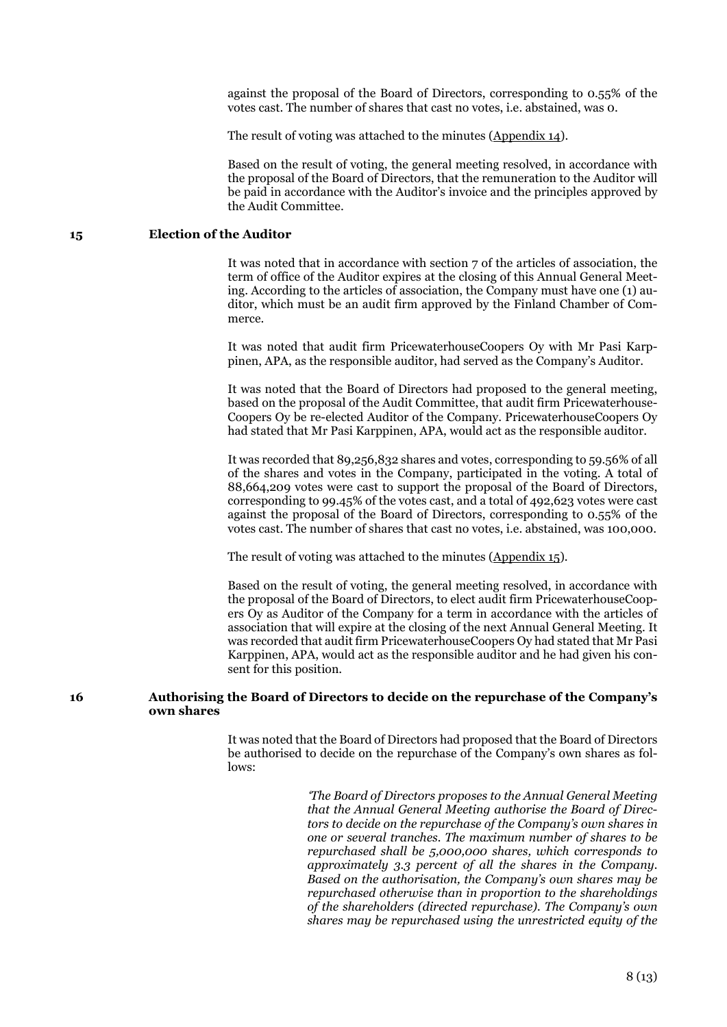against the proposal of the Board of Directors, corresponding to 0.55% of the votes cast. The number of shares that cast no votes, i.e. abstained, was 0.

The result of voting was attached to the minutes (Appendix 14).

Based on the result of voting, the general meeting resolved, in accordance with the proposal of the Board of Directors, that the remuneration to the Auditor will be paid in accordance with the Auditor's invoice and the principles approved by the Audit Committee.

# **15 Election of the Auditor**

It was noted that in accordance with section 7 of the articles of association, the term of office of the Auditor expires at the closing of this Annual General Meeting. According to the articles of association, the Company must have one (1) auditor, which must be an audit firm approved by the Finland Chamber of Commerce.

It was noted that audit firm PricewaterhouseCoopers Oy with Mr Pasi Karppinen, APA, as the responsible auditor, had served as the Company's Auditor.

It was noted that the Board of Directors had proposed to the general meeting, based on the proposal of the Audit Committee, that audit firm Pricewaterhouse-Coopers Oy be re-elected Auditor of the Company. PricewaterhouseCoopers Oy had stated that Mr Pasi Karppinen, APA, would act as the responsible auditor.

It was recorded that 89,256,832 shares and votes, corresponding to 59.56% of all of the shares and votes in the Company, participated in the voting. A total of 88,664,209 votes were cast to support the proposal of the Board of Directors, corresponding to 99.45% of the votes cast, and a total of 492,623 votes were cast against the proposal of the Board of Directors, corresponding to 0.55% of the votes cast. The number of shares that cast no votes, i.e. abstained, was 100,000.

The result of voting was attached to the minutes (Appendix 15).

Based on the result of voting, the general meeting resolved, in accordance with the proposal of the Board of Directors, to elect audit firm PricewaterhouseCoopers Oy as Auditor of the Company for a term in accordance with the articles of association that will expire at the closing of the next Annual General Meeting. It was recorded that audit firm PricewaterhouseCoopers Oy had stated that Mr Pasi Karppinen, APA, would act as the responsible auditor and he had given his consent for this position.

### **16 Authorising the Board of Directors to decide on the repurchase of the Company's own shares**

It was noted that the Board of Directors had proposed that the Board of Directors be authorised to decide on the repurchase of the Company's own shares as follows:

> *'The Board of Directors proposes to the Annual General Meeting that the Annual General Meeting authorise the Board of Directors to decide on the repurchase of the Company's own shares in one or several tranches. The maximum number of shares to be repurchased shall be 5,000,000 shares, which corresponds to approximately 3.3 percent of all the shares in the Company. Based on the authorisation, the Company's own shares may be repurchased otherwise than in proportion to the shareholdings of the shareholders (directed repurchase). The Company's own shares may be repurchased using the unrestricted equity of the*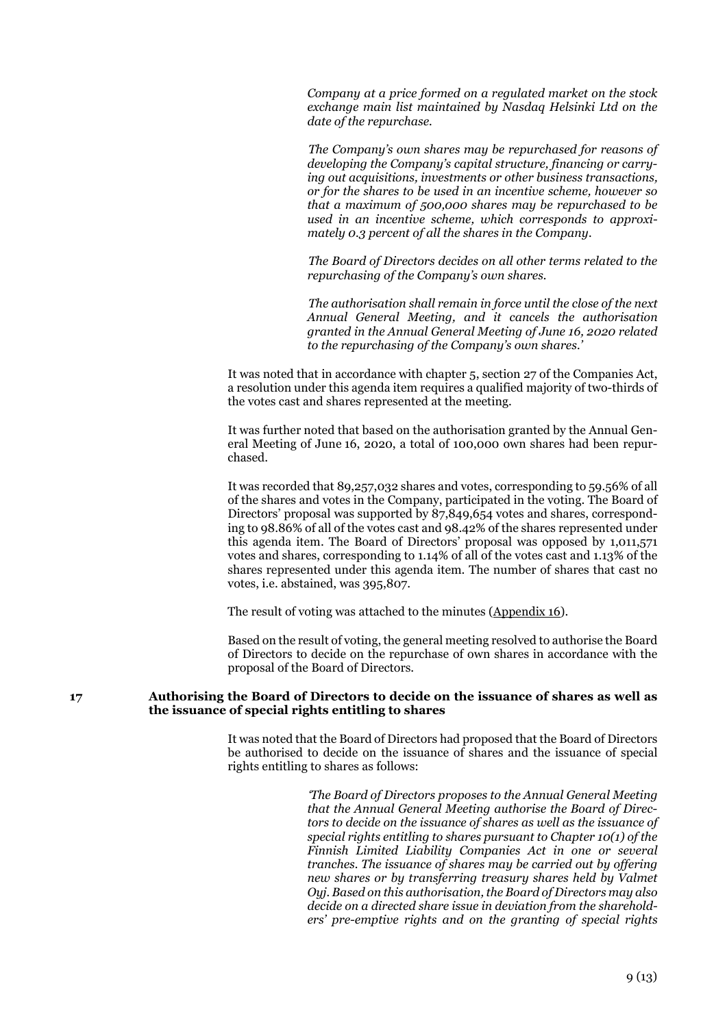*Company at a price formed on a regulated market on the stock exchange main list maintained by Nasdaq Helsinki Ltd on the date of the repurchase.*

*The Company's own shares may be repurchased for reasons of developing the Company's capital structure, financing or carrying out acquisitions, investments or other business transactions, or for the shares to be used in an incentive scheme, however so that a maximum of 500,000 shares may be repurchased to be used in an incentive scheme, which corresponds to approximately 0.3 percent of all the shares in the Company.*

*The Board of Directors decides on all other terms related to the repurchasing of the Company's own shares.*

*The authorisation shall remain in force until the close of the next Annual General Meeting, and it cancels the authorisation granted in the Annual General Meeting of June 16, 2020 related to the repurchasing of the Company's own shares.'*

It was noted that in accordance with chapter 5, section 27 of the Companies Act, a resolution under this agenda item requires a qualified majority of two-thirds of the votes cast and shares represented at the meeting.

It was further noted that based on the authorisation granted by the Annual General Meeting of June 16, 2020, a total of 100,000 own shares had been repurchased.

It was recorded that 89,257,032 shares and votes, corresponding to 59.56% of all of the shares and votes in the Company, participated in the voting. The Board of Directors' proposal was supported by 87,849,654 votes and shares, corresponding to 98.86% of all of the votes cast and 98.42% of the shares represented under this agenda item. The Board of Directors' proposal was opposed by 1,011,571 votes and shares, corresponding to 1.14% of all of the votes cast and 1.13% of the shares represented under this agenda item. The number of shares that cast no votes, i.e. abstained, was 395,807.

The result of voting was attached to the minutes (Appendix 16).

Based on the result of voting, the general meeting resolved to authorise the Board of Directors to decide on the repurchase of own shares in accordance with the proposal of the Board of Directors.

### **17 Authorising the Board of Directors to decide on the issuance of shares as well as the issuance of special rights entitling to shares**

It was noted that the Board of Directors had proposed that the Board of Directors be authorised to decide on the issuance of shares and the issuance of special rights entitling to shares as follows:

> *'The Board of Directors proposes to the Annual General Meeting that the Annual General Meeting authorise the Board of Directors to decide on the issuance of shares as well as the issuance of special rights entitling to shares pursuant to Chapter 10(1) of the Finnish Limited Liability Companies Act in one or several tranches. The issuance of shares may be carried out by offering new shares or by transferring treasury shares held by Valmet Oyj. Based on this authorisation, the Board of Directors may also decide on a directed share issue in deviation from the shareholders' pre-emptive rights and on the granting of special rights*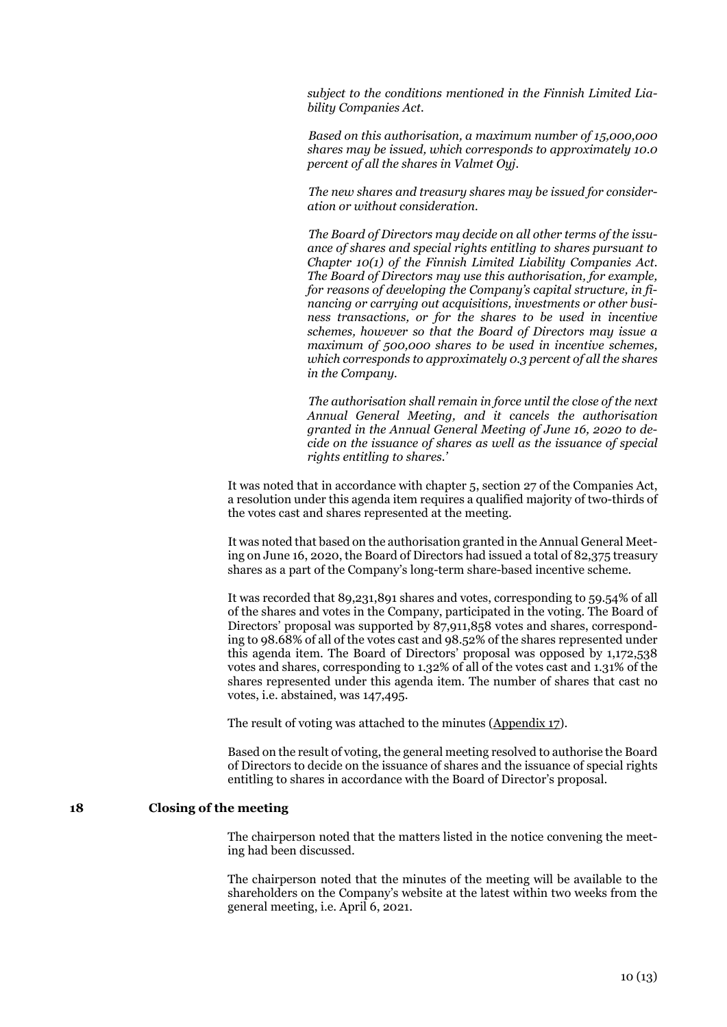*subject to the conditions mentioned in the Finnish Limited Liability Companies Act.*

*Based on this authorisation, a maximum number of 15,000,000 shares may be issued, which corresponds to approximately 10.0 percent of all the shares in Valmet Oyj.*

*The new shares and treasury shares may be issued for consideration or without consideration.*

*The Board of Directors may decide on all other terms of the issuance of shares and special rights entitling to shares pursuant to Chapter 10(1) of the Finnish Limited Liability Companies Act. The Board of Directors may use this authorisation, for example, for reasons of developing the Company's capital structure, in financing or carrying out acquisitions, investments or other business transactions, or for the shares to be used in incentive schemes, however so that the Board of Directors may issue a maximum of 500,000 shares to be used in incentive schemes, which corresponds to approximately 0.3 percent of all the shares in the Company.*

*The authorisation shall remain in force until the close of the next Annual General Meeting, and it cancels the authorisation granted in the Annual General Meeting of June 16, 2020 to decide on the issuance of shares as well as the issuance of special rights entitling to shares.'*

It was noted that in accordance with chapter 5, section 27 of the Companies Act, a resolution under this agenda item requires a qualified majority of two-thirds of the votes cast and shares represented at the meeting.

It was noted that based on the authorisation granted in the Annual General Meeting on June 16, 2020, the Board of Directors had issued a total of 82,375 treasury shares as a part of the Company's long-term share-based incentive scheme.

It was recorded that 89,231,891 shares and votes, corresponding to 59.54% of all of the shares and votes in the Company, participated in the voting. The Board of Directors' proposal was supported by 87,911,858 votes and shares, corresponding to 98.68% of all of the votes cast and 98.52% of the shares represented under this agenda item. The Board of Directors' proposal was opposed by 1,172,538 votes and shares, corresponding to 1.32% of all of the votes cast and 1.31% of the shares represented under this agenda item. The number of shares that cast no votes, i.e. abstained, was 147,495.

The result of voting was attached to the minutes (Appendix 17).

Based on the result of voting, the general meeting resolved to authorise the Board of Directors to decide on the issuance of shares and the issuance of special rights entitling to shares in accordance with the Board of Director's proposal.

### **18 Closing of the meeting**

The chairperson noted that the matters listed in the notice convening the meeting had been discussed.

The chairperson noted that the minutes of the meeting will be available to the shareholders on the Company's website at the latest within two weeks from the general meeting, i.e. April 6, 2021.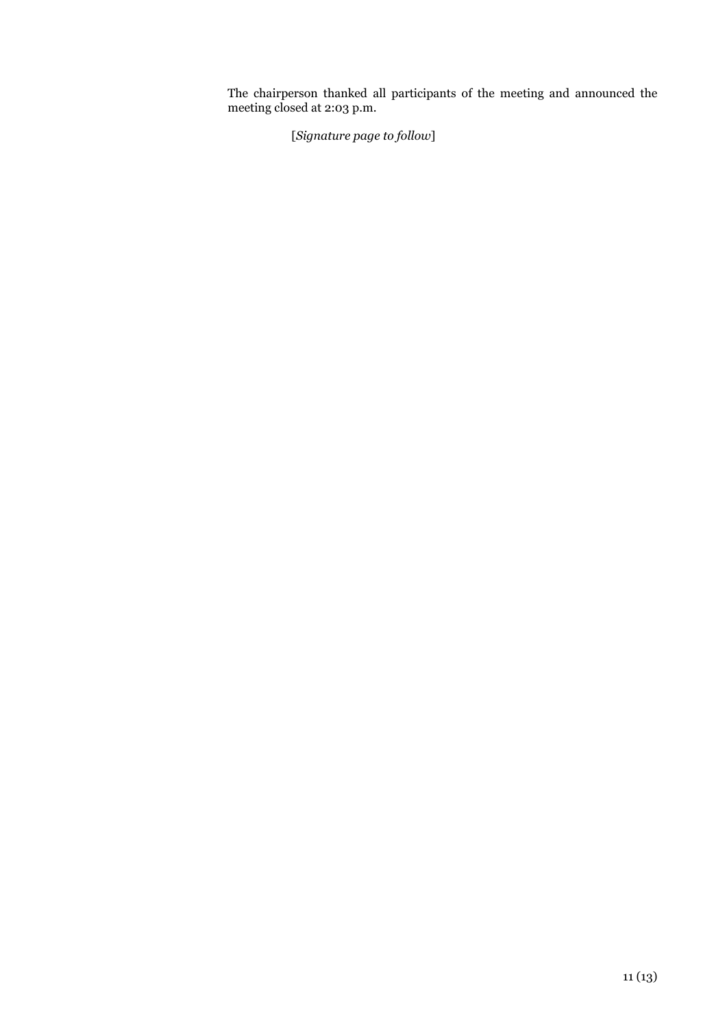The chairperson thanked all participants of the meeting and announced the meeting closed at 2:03 p.m.

[*Signature page to follow*]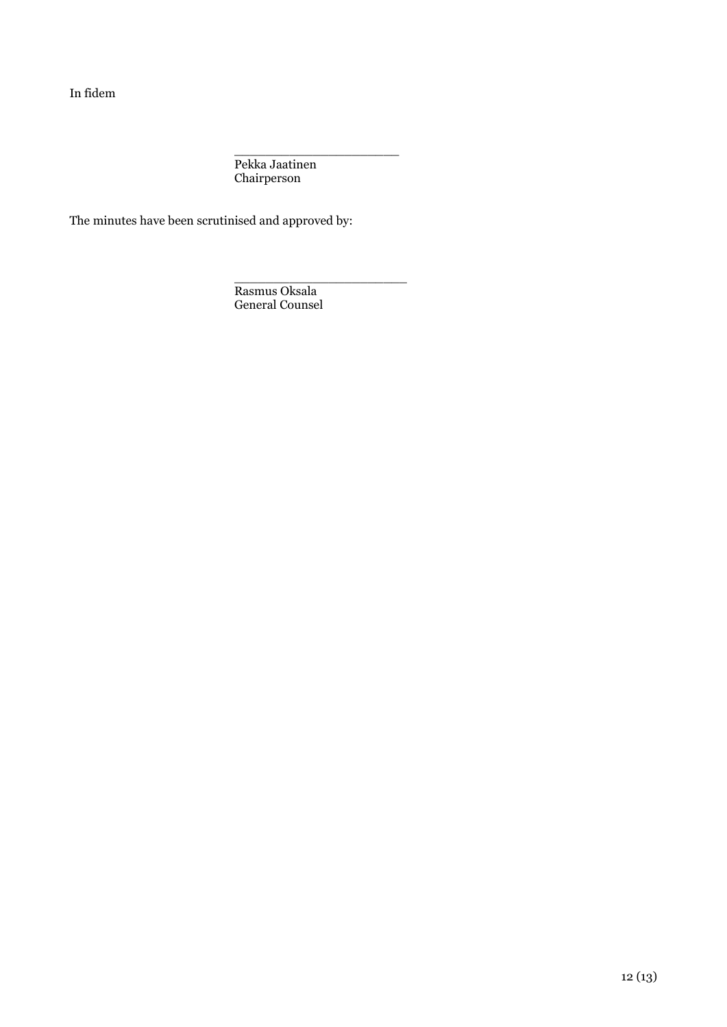In fidem

\_\_\_\_\_\_\_\_\_\_\_\_\_\_\_\_\_\_\_\_\_ Pekka Jaatinen Chairperson

The minutes have been scrutinised and approved by:

\_\_\_\_\_\_\_\_\_\_\_\_\_\_\_\_\_\_\_\_\_\_ Rasmus Oksala General Counsel